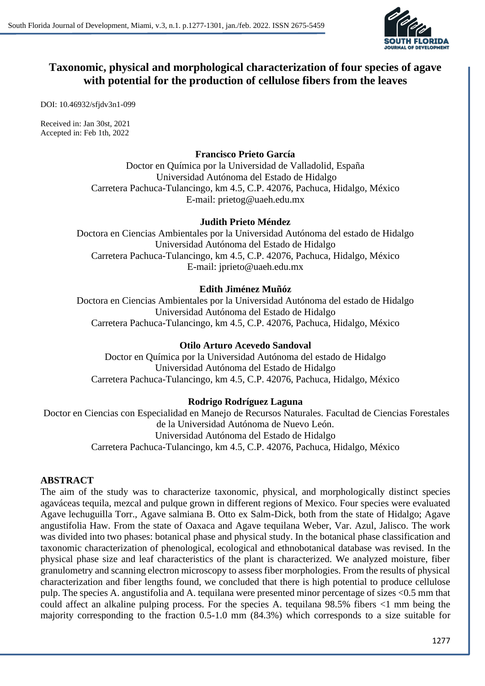

# **Taxonomic, physical and morphological characterization of four species of agave with potential for the production of cellulose fibers from the leaves**

DOI: 10.46932/sfjdv3n1-099

Received in: Jan 30st, 2021 Accepted in: Feb 1th, 2022

### **Francisco Prieto García**

Doctor en Química por la Universidad de Valladolid, España Universidad Autónoma del Estado de Hidalgo Carretera Pachuca-Tulancingo, km 4.5, C.P. 42076, Pachuca, Hidalgo, México E-mail: prietog@uaeh.edu.mx

#### **Judith Prieto Méndez**

Doctora en Ciencias Ambientales por la Universidad Autónoma del estado de Hidalgo Universidad Autónoma del Estado de Hidalgo Carretera Pachuca-Tulancingo, km 4.5, C.P. 42076, Pachuca, Hidalgo, México E-mail: jprieto@uaeh.edu.mx

## **Edith Jiménez Muñóz**

Doctora en Ciencias Ambientales por la Universidad Autónoma del estado de Hidalgo Universidad Autónoma del Estado de Hidalgo Carretera Pachuca-Tulancingo, km 4.5, C.P. 42076, Pachuca, Hidalgo, México

### **Otilo Arturo Acevedo Sandoval**

Doctor en Química por la Universidad Autónoma del estado de Hidalgo Universidad Autónoma del Estado de Hidalgo Carretera Pachuca-Tulancingo, km 4.5, C.P. 42076, Pachuca, Hidalgo, México

## **Rodrigo Rodríguez Laguna**

Doctor en Ciencias con Especialidad en Manejo de Recursos Naturales. Facultad de Ciencias Forestales de la Universidad Autónoma de Nuevo León. Universidad Autónoma del Estado de Hidalgo Carretera Pachuca-Tulancingo, km 4.5, C.P. 42076, Pachuca, Hidalgo, México

#### **ABSTRACT**

The aim of the study was to characterize taxonomic, physical, and morphologically distinct species agaváceas tequila, mezcal and pulque grown in different regions of Mexico. Four species were evaluated Agave lechuguilla Torr., Agave salmiana B. Otto ex Salm-Dick, both from the state of Hidalgo; Agave angustifolia Haw. From the state of Oaxaca and Agave tequilana Weber, Var. Azul, Jalisco. The work was divided into two phases: botanical phase and physical study. In the botanical phase classification and taxonomic characterization of phenological, ecological and ethnobotanical database was revised. In the physical phase size and leaf characteristics of the plant is characterized. We analyzed moisture, fiber granulometry and scanning electron microscopy to assess fiber morphologies. From the results of physical characterization and fiber lengths found, we concluded that there is high potential to produce cellulose pulp. The species A. angustifolia and A. tequilana were presented minor percentage of sizes <0.5 mm that could affect an alkaline pulping process. For the species A. tequilana 98.5% fibers <1 mm being the majority corresponding to the fraction 0.5-1.0 mm (84.3%) which corresponds to a size suitable for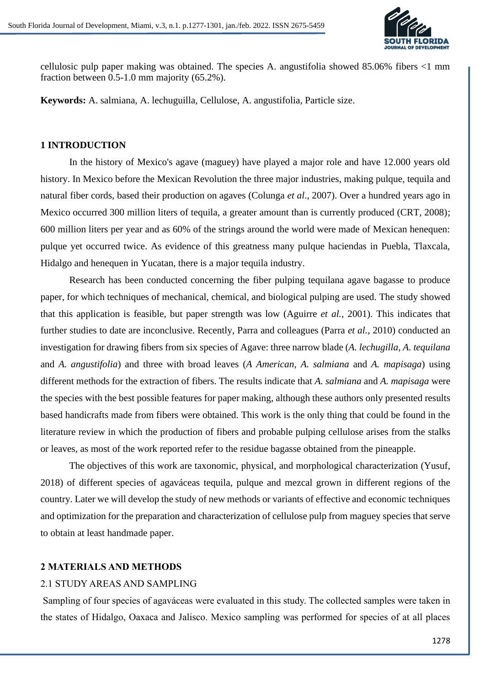

cellulosic pulp paper making was obtained. The species A. angustifolia showed 85.06% fibers <1 mm fraction between 0.5-1.0 mm majority (65.2%).

**Keywords:** A. salmiana, A. lechuguilla, Cellulose, A. angustifolia, Particle size.

#### **1 INTRODUCTION**

In the history of Mexico's agave (maguey) have played a major role and have 12.000 years old history. In Mexico before the Mexican Revolution the three major industries, making pulque, tequila and natural fiber cords, based their production on agaves (Colunga *et al*., 2007). Over a hundred years ago in Mexico occurred 300 million liters of tequila, a greater amount than is currently produced (CRT, 2008); 600 million liters per year and as 60% of the strings around the world were made of Mexican henequen: pulque yet occurred twice. As evidence of this greatness many pulque haciendas in Puebla, Tlaxcala, Hidalgo and henequen in Yucatan, there is a major tequila industry.

Research has been conducted concerning the fiber pulping tequilana agave bagasse to produce paper, for which techniques of mechanical, chemical, and biological pulping are used. The study showed that this application is feasible, but paper strength was low (Aguirre *et al.*, 2001). This indicates that further studies to date are inconclusive. Recently, Parra and colleagues (Parra *et al.*, 2010) conducted an investigation for drawing fibers from six species of Agave: three narrow blade (*A. lechugilla*, *A. tequilana* and *A. angustifolia*) and three with broad leaves (*A American*, *A. salmiana* and *A. mapisaga*) using different methods for the extraction of fibers. The results indicate that *A. salmiana* and *A. mapisaga* were the species with the best possible features for paper making, although these authors only presented results based handicrafts made from fibers were obtained. This work is the only thing that could be found in the literature review in which the production of fibers and probable pulping cellulose arises from the stalks or leaves, as most of the work reported refer to the residue bagasse obtained from the pineapple.

The objectives of this work are taxonomic, physical, and morphological characterization (Yusuf, 2018) of different species of agaváceas tequila, pulque and mezcal grown in different regions of the country. Later we will develop the study of new methods or variants of effective and economic techniques and optimization for the preparation and characterization of cellulose pulp from maguey species that serve to obtain at least handmade paper.

#### **2 MATERIALS AND METHODS**

#### 2.1 STUDY AREAS AND SAMPLING

Sampling of four species of agaváceas were evaluated in this study. The collected samples were taken in the states of Hidalgo, Oaxaca and Jalisco. Mexico sampling was performed for species of at all places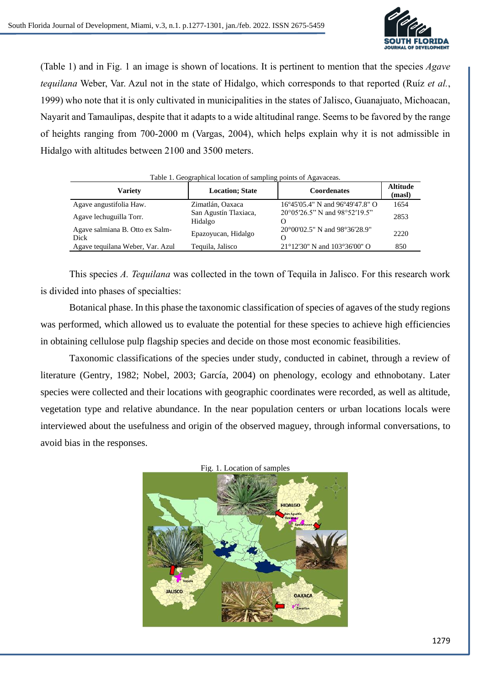

(Table 1) and in Fig. 1 an image is shown of locations. It is pertinent to mention that the species *Agave tequilana* Weber, Var. Azul not in the state of Hidalgo, which corresponds to that reported (Ruíz *et al.*, 1999) who note that it is only cultivated in municipalities in the states of Jalisco, Guanajuato, Michoacan, Nayarit and Tamaulipas, despite that it adapts to a wide altitudinal range. Seems to be favored by the range of heights ranging from 700-2000 m (Vargas, 2004), which helps explain why it is not admissible in Hidalgo with altitudes between 2100 and 3500 meters.

| Table 1. Geographical location of sampling points of Agavaceas. |                                  |                                                    |                           |  |  |  |  |  |
|-----------------------------------------------------------------|----------------------------------|----------------------------------------------------|---------------------------|--|--|--|--|--|
| <b>Variety</b>                                                  | <b>Location</b> ; State          | <b>Coordenates</b>                                 | <b>Altitude</b><br>(masl) |  |  |  |  |  |
| Agave angustifolia Haw.                                         | Zimatlán, Oaxaca                 | 16°45'05.4" N and 96°49'47.8" O                    | 1654                      |  |  |  |  |  |
| Agave lechuguilla Torr.                                         | San Agustín Tlaxiaca,<br>Hidalgo | 20°05'26.5" N and 98°52'19.5"<br>$\mathbf{\Omega}$ | 2853                      |  |  |  |  |  |
| Agave salmiana B. Otto ex Salm-<br>Dick                         | Epazoyucan, Hidalgo              | 20°00'02.5" N and 98°36'28.9"<br>Ω                 | 2220                      |  |  |  |  |  |
| Agave tequilana Weber, Var. Azul                                | Tequila, Jalisco                 | $21^{\circ}12'30''$ N and $103^{\circ}36'00''$ O   | 850                       |  |  |  |  |  |

Table 1. Geographical location of sampling points of Agavaceas.

This species *A. Tequilana* was collected in the town of Tequila in Jalisco. For this research work is divided into phases of specialties:

Botanical phase. In this phase the taxonomic classification of species of agaves of the study regions was performed, which allowed us to evaluate the potential for these species to achieve high efficiencies in obtaining cellulose pulp flagship species and decide on those most economic feasibilities.

Taxonomic classifications of the species under study, conducted in cabinet, through a review of literature (Gentry, 1982; Nobel, 2003; García, 2004) on phenology, ecology and ethnobotany. Later species were collected and their locations with geographic coordinates were recorded, as well as altitude, vegetation type and relative abundance. In the near population centers or urban locations locals were interviewed about the usefulness and origin of the observed maguey, through informal conversations, to avoid bias in the responses.



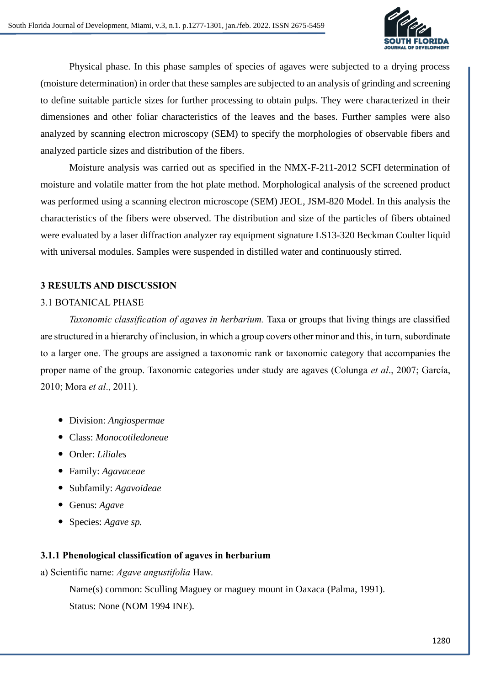

Physical phase. In this phase samples of species of agaves were subjected to a drying process (moisture determination) in order that these samples are subjected to an analysis of grinding and screening to define suitable particle sizes for further processing to obtain pulps. They were characterized in their dimensiones and other foliar characteristics of the leaves and the bases. Further samples were also analyzed by scanning electron microscopy (SEM) to specify the morphologies of observable fibers and analyzed particle sizes and distribution of the fibers.

Moisture analysis was carried out as specified in the NMX-F-211-2012 SCFI determination of moisture and volatile matter from the hot plate method. Morphological analysis of the screened product was performed using a scanning electron microscope (SEM) JEOL, JSM-820 Model. In this analysis the characteristics of the fibers were observed. The distribution and size of the particles of fibers obtained were evaluated by a laser diffraction analyzer ray equipment signature LS13-320 Beckman Coulter liquid with universal modules. Samples were suspended in distilled water and continuously stirred.

## **3 RESULTS AND DISCUSSION**

## 3.1 BOTANICAL PHASE

*Taxonomic classification of agaves in herbarium.* Taxa or groups that living things are classified are structured in a hierarchy of inclusion, in which a group covers other minor and this, in turn, subordinate to a larger one. The groups are assigned a taxonomic rank or taxonomic category that accompanies the proper name of the group. Taxonomic categories under study are agaves (Colunga *et al*., 2007; García, 2010; Mora *et al*., 2011).

- Division: *Angiospermae*
- Class: *Monocotiledoneae*
- Order: *Liliales*
- Family: *Agavaceae*
- Subfamily: *Agavoideae*
- Genus: *Agave*
- Species: *Agave sp.*

#### **3.1.1 Phenological classification of agaves in herbarium**

a) Scientific name: *Agave angustifolia* Haw.

Name(s) common: Sculling Maguey or maguey mount in Oaxaca (Palma, 1991). Status: None (NOM 1994 INE).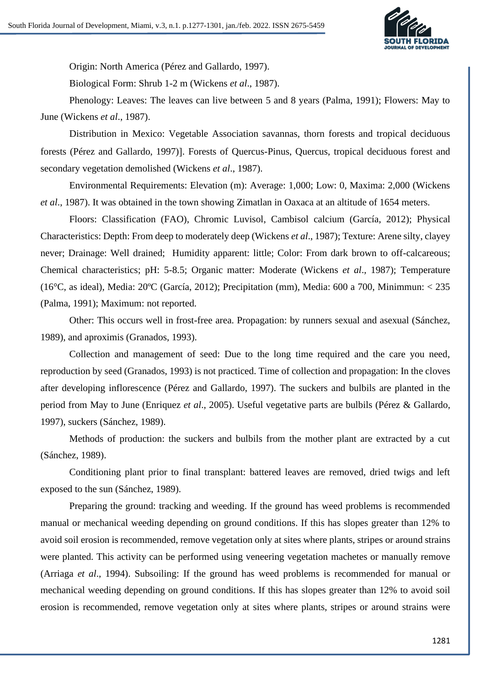

Origin: North America (Pérez and Gallardo, 1997).

Biological Form: Shrub 1-2 m (Wickens *et al*., 1987).

Phenology: Leaves: The leaves can live between 5 and 8 years (Palma, 1991); Flowers: May to June (Wickens *et al*., 1987).

Distribution in Mexico: Vegetable Association savannas, thorn forests and tropical deciduous forests (Pérez and Gallardo, 1997). Forests of Quercus-Pinus, Quercus, tropical deciduous forest and secondary vegetation demolished (Wickens *et al*., 1987).

Environmental Requirements: Elevation (m): Average: 1,000; Low: 0, Maxima: 2,000 (Wickens *et al*., 1987). It was obtained in the town showing Zimatlan in Oaxaca at an altitude of 1654 meters.

Floors: Classification (FAO), Chromic Luvisol, Cambisol calcium (García, 2012); Physical Characteristics: Depth: From deep to moderately deep (Wickens *et al*., 1987); Texture: Arene silty, clayey never; Drainage: Well drained; Humidity apparent: little; Color: From dark brown to off-calcareous; Chemical characteristics; pH: 5-8.5; Organic matter: Moderate (Wickens *et al*., 1987); Temperature (16 $^{\circ}$ C, as ideal), Media: 20 $^{\circ}$ C (García, 2012); Precipitation (mm), Media: 600 a 700, Minimmun: < 235 (Palma, 1991); Maximum: not reported.

Other: This occurs well in frost-free area. Propagation: by runners sexual and asexual (Sánchez, 1989), and aproximis (Granados, 1993).

Collection and management of seed: Due to the long time required and the care you need, reproduction by seed (Granados, 1993) is not practiced. Time of collection and propagation: In the cloves after developing inflorescence (Pérez and Gallardo, 1997). The suckers and bulbils are planted in the period from May to June (Enriquez *et al*., 2005). Useful vegetative parts are bulbils (Pérez & Gallardo, 1997), suckers (Sánchez, 1989).

Methods of production: the suckers and bulbils from the mother plant are extracted by a cut (Sánchez, 1989).

Conditioning plant prior to final transplant: battered leaves are removed, dried twigs and left exposed to the sun (Sánchez, 1989).

Preparing the ground: tracking and weeding. If the ground has weed problems is recommended manual or mechanical weeding depending on ground conditions. If this has slopes greater than 12% to avoid soil erosion is recommended, remove vegetation only at sites where plants, stripes or around strains were planted. This activity can be performed using veneering vegetation machetes or manually remove (Arriaga *et al*., 1994). Subsoiling: If the ground has weed problems is recommended for manual or mechanical weeding depending on ground conditions. If this has slopes greater than 12% to avoid soil erosion is recommended, remove vegetation only at sites where plants, stripes or around strains were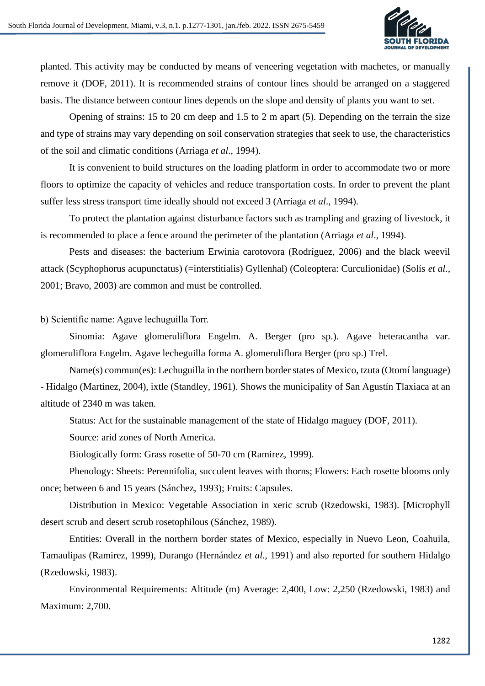

planted. This activity may be conducted by means of veneering vegetation with machetes, or manually remove it (DOF, 2011). It is recommended strains of contour lines should be arranged on a staggered basis. The distance between contour lines depends on the slope and density of plants you want to set.

Opening of strains: 15 to 20 cm deep and 1.5 to 2 m apart (5). Depending on the terrain the size and type of strains may vary depending on soil conservation strategies that seek to use, the characteristics of the soil and climatic conditions (Arriaga *et al*., 1994).

It is convenient to build structures on the loading platform in order to accommodate two or more floors to optimize the capacity of vehicles and reduce transportation costs. In order to prevent the plant suffer less stress transport time ideally should not exceed 3 (Arriaga *et al*., 1994).

To protect the plantation against disturbance factors such as trampling and grazing of livestock, it is recommended to place a fence around the perimeter of the plantation (Arriaga *et al*., 1994).

Pests and diseases: the bacterium Erwinia carotovora (Rodríguez, 2006) and the black weevil attack (Scyphophorus acupunctatus) (=interstitialis) Gyllenhal) (Coleoptera: Curculionidae) (Solís *et al*., 2001; Bravo, 2003) are common and must be controlled.

#### b) Scientific name: Agave lechuguilla Torr.

Sinomia: Agave glomeruliflora Engelm. A. Berger (pro sp.). Agave heteracantha var. glomeruliflora Engelm. Agave lecheguilla forma A. glomeruliflora Berger (pro sp.) Trel.

Name(s) commun(es): Lechuguilla in the northern border states of Mexico, tzuta (Otomí language) - Hidalgo (Martínez, 2004), ixtle (Standley, 1961). Shows the municipality of San Agustín Tlaxiaca at an altitude of 2340 m was taken.

Status: Act for the sustainable management of the state of Hidalgo maguey (DOF, 2011).

Source: arid zones of North America.

Biologically form: Grass rosette of 50-70 cm (Ramirez, 1999).

Phenology: Sheets: Perennifolia, succulent leaves with thorns; Flowers: Each rosette blooms only once; between 6 and 15 years (Sánchez, 1993); Fruits: Capsules.

Distribution in Mexico: Vegetable Association in xeric scrub (Rzedowski, 1983). [Microphyll desert scrub and desert scrub rosetophilous (Sánchez, 1989).

Entities: Overall in the northern border states of Mexico, especially in Nuevo Leon, Coahuila, Tamaulipas (Ramirez, 1999), Durango (Hernández *et al*., 1991) and also reported for southern Hidalgo (Rzedowski, 1983).

Environmental Requirements: Altitude (m) Average: 2,400, Low: 2,250 (Rzedowski, 1983) and Maximum: 2,700.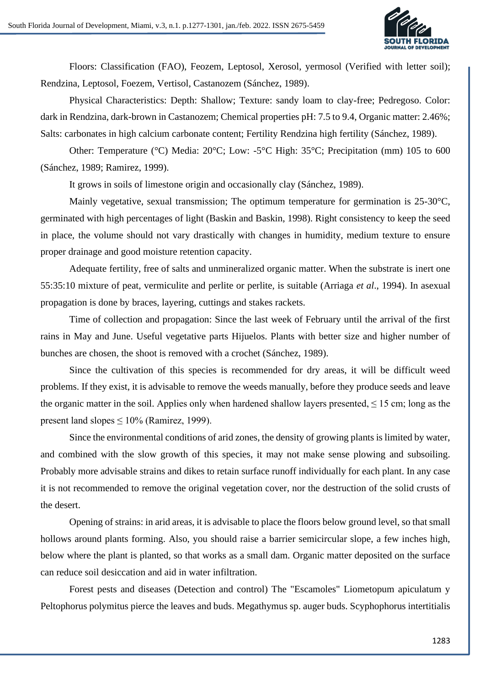

Floors: Classification (FAO), Feozem, Leptosol, Xerosol, yermosol (Verified with letter soil); Rendzina, Leptosol, Foezem, Vertisol, Castanozem (Sánchez, 1989).

Physical Characteristics: Depth: Shallow; Texture: sandy loam to clay-free; Pedregoso. Color: dark in Rendzina, dark-brown in Castanozem; Chemical properties pH: 7.5 to 9.4, Organic matter: 2.46%; Salts: carbonates in high calcium carbonate content; Fertility Rendzina high fertility (Sánchez, 1989).

Other: Temperature (°C) Media: 20°C; Low: -5°C High: 35°C; Precipitation (mm) 105 to 600 (Sánchez, 1989; Ramirez, 1999).

It grows in soils of limestone origin and occasionally clay (Sánchez, 1989).

Mainly vegetative, sexual transmission; The optimum temperature for germination is 25-30°C, germinated with high percentages of light (Baskin and Baskin, 1998). Right consistency to keep the seed in place, the volume should not vary drastically with changes in humidity, medium texture to ensure proper drainage and good moisture retention capacity.

Adequate fertility, free of salts and unmineralized organic matter. When the substrate is inert one 55:35:10 mixture of peat, vermiculite and perlite or perlite, is suitable (Arriaga *et al*., 1994). In asexual propagation is done by braces, layering, cuttings and stakes rackets.

Time of collection and propagation: Since the last week of February until the arrival of the first rains in May and June. Useful vegetative parts Hijuelos. Plants with better size and higher number of bunches are chosen, the shoot is removed with a crochet (Sánchez, 1989).

Since the cultivation of this species is recommended for dry areas, it will be difficult weed problems. If they exist, it is advisable to remove the weeds manually, before they produce seeds and leave the organic matter in the soil. Applies only when hardened shallow layers presented,  $\leq 15$  cm; long as the present land slopes  $\leq 10\%$  (Ramirez, 1999).

Since the environmental conditions of arid zones, the density of growing plants is limited by water, and combined with the slow growth of this species, it may not make sense plowing and subsoiling. Probably more advisable strains and dikes to retain surface runoff individually for each plant. In any case it is not recommended to remove the original vegetation cover, nor the destruction of the solid crusts of the desert.

Opening of strains: in arid areas, it is advisable to place the floors below ground level, so that small hollows around plants forming. Also, you should raise a barrier semicircular slope, a few inches high, below where the plant is planted, so that works as a small dam. Organic matter deposited on the surface can reduce soil desiccation and aid in water infiltration.

Forest pests and diseases (Detection and control) The "Escamoles" Liometopum apiculatum y Peltophorus polymitus pierce the leaves and buds. Megathymus sp. auger buds. Scyphophorus intertitialis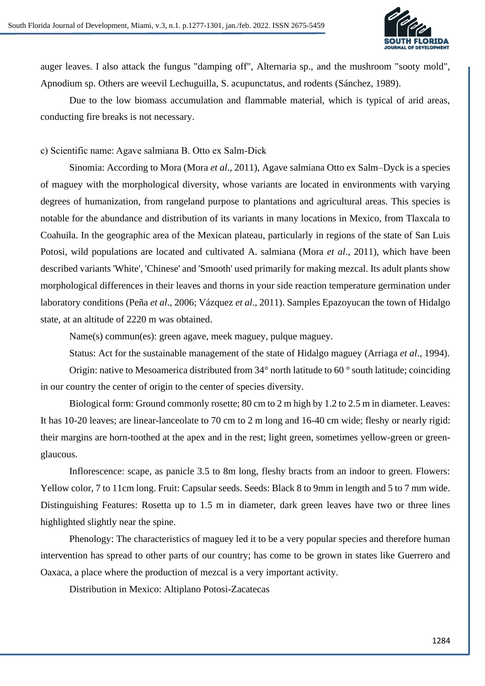

auger leaves. I also attack the fungus "damping off", Alternaria sp., and the mushroom "sooty mold", Apnodium sp. Others are weevil Lechuguilla, S. acupunctatus, and rodents (Sánchez, 1989).

Due to the low biomass accumulation and flammable material, which is typical of arid areas, conducting fire breaks is not necessary.

c) Scientific name: Agave salmiana B. Otto ex Salm-Dick

Sinomia: According to Mora (Mora *et al*., 2011), Agave salmiana Otto ex Salm–Dyck is a species of maguey with the morphological diversity, whose variants are located in environments with varying degrees of humanization, from rangeland purpose to plantations and agricultural areas. This species is notable for the abundance and distribution of its variants in many locations in Mexico, from Tlaxcala to Coahuila. In the geographic area of the Mexican plateau, particularly in regions of the state of San Luis Potosi, wild populations are located and cultivated A. salmiana (Mora *et al*., 2011), which have been described variants 'White', 'Chinese' and 'Smooth' used primarily for making mezcal. Its adult plants show morphological differences in their leaves and thorns in your side reaction temperature germination under laboratory conditions (Peña *et al*., 2006; Vázquez *et al*., 2011). Samples Epazoyucan the town of Hidalgo state, at an altitude of 2220 m was obtained.

Name(s) commun(es): green agave, meek maguey, pulque maguey.

Status: Act for the sustainable management of the state of Hidalgo maguey (Arriaga *et al*., 1994).

Origin: native to Mesoamerica distributed from 34° north latitude to 60 ° south latitude; coinciding in our country the center of origin to the center of species diversity.

Biological form: Ground commonly rosette; 80 cm to 2 m high by 1.2 to 2.5 m in diameter. Leaves: It has 10-20 leaves; are linear-lanceolate to 70 cm to 2 m long and 16-40 cm wide; fleshy or nearly rigid: their margins are horn-toothed at the apex and in the rest; light green, sometimes yellow-green or greenglaucous.

Inflorescence: scape, as panicle 3.5 to 8m long, fleshy bracts from an indoor to green. Flowers: Yellow color, 7 to 11cm long. Fruit: Capsular seeds. Seeds: Black 8 to 9mm in length and 5 to 7 mm wide. Distinguishing Features: Rosetta up to 1.5 m in diameter, dark green leaves have two or three lines highlighted slightly near the spine.

Phenology: The characteristics of maguey led it to be a very popular species and therefore human intervention has spread to other parts of our country; has come to be grown in states like Guerrero and Oaxaca, a place where the production of mezcal is a very important activity.

Distribution in Mexico: Altiplano Potosi-Zacatecas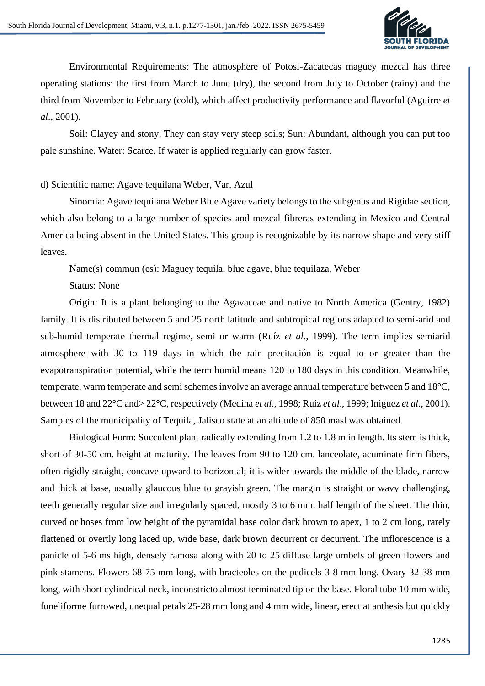

Environmental Requirements: The atmosphere of Potosi-Zacatecas maguey mezcal has three operating stations: the first from March to June (dry), the second from July to October (rainy) and the third from November to February (cold), which affect productivity performance and flavorful (Aguirre *et al*., 2001).

Soil: Clayey and stony. They can stay very steep soils; Sun: Abundant, although you can put too pale sunshine. Water: Scarce. If water is applied regularly can grow faster.

#### d) Scientific name: Agave tequilana Weber, Var. Azul

Sinomia: Agave tequilana Weber Blue Agave variety belongs to the subgenus and Rigidae section, which also belong to a large number of species and mezcal fibreras extending in Mexico and Central America being absent in the United States. This group is recognizable by its narrow shape and very stiff leaves.

Name(s) commun (es): Maguey tequila, blue agave, blue tequilaza, Weber

Status: None

Origin: It is a plant belonging to the Agavaceae and native to North America (Gentry, 1982) family. It is distributed between 5 and 25 north latitude and subtropical regions adapted to semi-arid and sub-humid temperate thermal regime, semi or warm (Ruíz *et al*., 1999). The term implies semiarid atmosphere with 30 to 119 days in which the rain precitación is equal to or greater than the evapotranspiration potential, while the term humid means 120 to 180 days in this condition. Meanwhile, temperate, warm temperate and semi schemes involve an average annual temperature between 5 and 18°C, between 18 and 22°C and> 22°C, respectively (Medina *et al*., 1998; Ruíz *et al*., 1999; Iniguez *et al*., 2001). Samples of the municipality of Tequila, Jalisco state at an altitude of 850 masl was obtained.

Biological Form: Succulent plant radically extending from 1.2 to 1.8 m in length. Its stem is thick, short of 30-50 cm. height at maturity. The leaves from 90 to 120 cm. lanceolate, acuminate firm fibers, often rigidly straight, concave upward to horizontal; it is wider towards the middle of the blade, narrow and thick at base, usually glaucous blue to grayish green. The margin is straight or wavy challenging, teeth generally regular size and irregularly spaced, mostly 3 to 6 mm. half length of the sheet. The thin, curved or hoses from low height of the pyramidal base color dark brown to apex, 1 to 2 cm long, rarely flattened or overtly long laced up, wide base, dark brown decurrent or decurrent. The inflorescence is a panicle of 5-6 ms high, densely ramosa along with 20 to 25 diffuse large umbels of green flowers and pink stamens. Flowers 68-75 mm long, with bracteoles on the pedicels 3-8 mm long. Ovary 32-38 mm long, with short cylindrical neck, inconstricto almost terminated tip on the base. Floral tube 10 mm wide, funeliforme furrowed, unequal petals 25-28 mm long and 4 mm wide, linear, erect at anthesis but quickly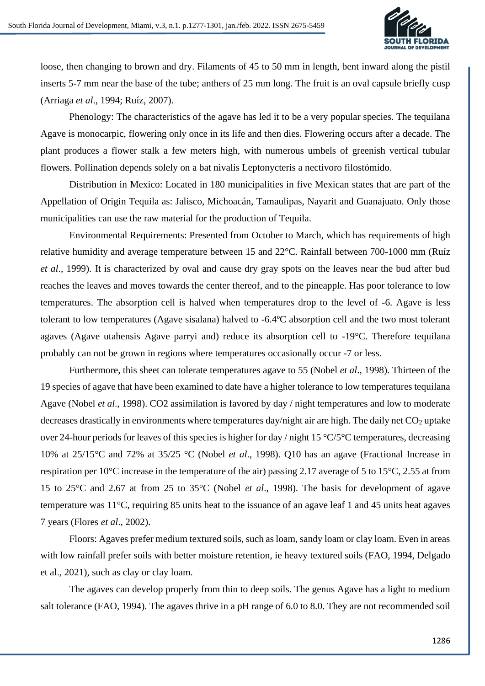

loose, then changing to brown and dry. Filaments of 45 to 50 mm in length, bent inward along the pistil inserts 5-7 mm near the base of the tube; anthers of 25 mm long. The fruit is an oval capsule briefly cusp (Arriaga *et al*., 1994; Ruíz, 2007).

Phenology: The characteristics of the agave has led it to be a very popular species. The tequilana Agave is monocarpic, flowering only once in its life and then dies. Flowering occurs after a decade. The plant produces a flower stalk a few meters high, with numerous umbels of greenish vertical tubular flowers. Pollination depends solely on a bat nivalis Leptonycteris a nectivoro filostómido.

Distribution in Mexico: Located in 180 municipalities in five Mexican states that are part of the Appellation of Origin Tequila as: Jalisco, Michoacán, Tamaulipas, Nayarit and Guanajuato. Only those municipalities can use the raw material for the production of Tequila.

Environmental Requirements: Presented from October to March, which has requirements of high relative humidity and average temperature between 15 and 22°C. Rainfall between 700-1000 mm (Ruíz *et al*., 1999). It is characterized by oval and cause dry gray spots on the leaves near the bud after bud reaches the leaves and moves towards the center thereof, and to the pineapple. Has poor tolerance to low temperatures. The absorption cell is halved when temperatures drop to the level of -6. Agave is less tolerant to low temperatures (Agave sisalana) halved to -6.4ºC absorption cell and the two most tolerant agaves (Agave utahensis Agave parryi and) reduce its absorption cell to -19°C. Therefore tequilana probably can not be grown in regions where temperatures occasionally occur -7 or less.

Furthermore, this sheet can tolerate temperatures agave to 55 (Nobel *et al*., 1998). Thirteen of the 19 species of agave that have been examined to date have a higher tolerance to low temperatures tequilana Agave (Nobel *et al*., 1998). CO2 assimilation is favored by day / night temperatures and low to moderate decreases drastically in environments where temperatures day/night air are high. The daily net  $CO<sub>2</sub>$  uptake over 24-hour periods for leaves of this species is higher for day / night 15 °C/5°C temperatures, decreasing 10% at 25/15°C and 72% at 35/25 °C (Nobel *et al*., 1998). Q10 has an agave (Fractional Increase in respiration per 10°C increase in the temperature of the air) passing 2.17 average of 5 to 15°C, 2.55 at from 15 to 25°C and 2.67 at from 25 to 35°C (Nobel *et al*., 1998). The basis for development of agave temperature was 11°C, requiring 85 units heat to the issuance of an agave leaf 1 and 45 units heat agaves 7 years (Flores *et al*., 2002).

Floors: Agaves prefer medium textured soils, such as loam, sandy loam or clay loam. Even in areas with low rainfall prefer soils with better moisture retention, ie heavy textured soils (FAO, 1994, Delgado et al., 2021), such as clay or clay loam.

The agaves can develop properly from thin to deep soils. The genus Agave has a light to medium salt tolerance (FAO, 1994). The agaves thrive in a pH range of 6.0 to 8.0. They are not recommended soil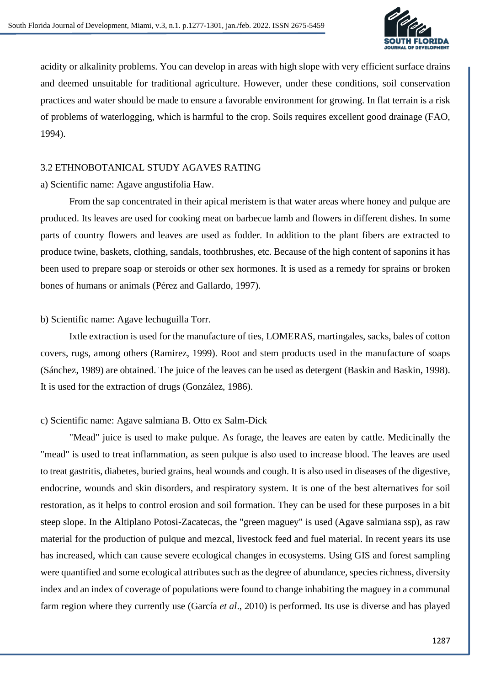

acidity or alkalinity problems. You can develop in areas with high slope with very efficient surface drains and deemed unsuitable for traditional agriculture. However, under these conditions, soil conservation practices and water should be made to ensure a favorable environment for growing. In flat terrain is a risk of problems of waterlogging, which is harmful to the crop. Soils requires excellent good drainage (FAO, 1994).

### 3.2 ETHNOBOTANICAL STUDY AGAVES RATING

#### a) Scientific name: Agave angustifolia Haw.

From the sap concentrated in their apical meristem is that water areas where honey and pulque are produced. Its leaves are used for cooking meat on barbecue lamb and flowers in different dishes. In some parts of country flowers and leaves are used as fodder. In addition to the plant fibers are extracted to produce twine, baskets, clothing, sandals, toothbrushes, etc. Because of the high content of saponins it has been used to prepare soap or steroids or other sex hormones. It is used as a remedy for sprains or broken bones of humans or animals (Pérez and Gallardo, 1997).

#### b) Scientific name: Agave lechuguilla Torr.

Ixtle extraction is used for the manufacture of ties, LOMERAS, martingales, sacks, bales of cotton covers, rugs, among others (Ramirez, 1999). Root and stem products used in the manufacture of soaps (Sánchez, 1989) are obtained. The juice of the leaves can be used as detergent (Baskin and Baskin, 1998). It is used for the extraction of drugs (González, 1986).

#### c) Scientific name: Agave salmiana B. Otto ex Salm-Dick

"Mead" juice is used to make pulque. As forage, the leaves are eaten by cattle. Medicinally the "mead" is used to treat inflammation, as seen pulque is also used to increase blood. The leaves are used to treat gastritis, diabetes, buried grains, heal wounds and cough. It is also used in diseases of the digestive, endocrine, wounds and skin disorders, and respiratory system. It is one of the best alternatives for soil restoration, as it helps to control erosion and soil formation. They can be used for these purposes in a bit steep slope. In the Altiplano Potosi-Zacatecas, the "green maguey" is used (Agave salmiana ssp), as raw material for the production of pulque and mezcal, livestock feed and fuel material. In recent years its use has increased, which can cause severe ecological changes in ecosystems. Using GIS and forest sampling were quantified and some ecological attributes such as the degree of abundance, species richness, diversity index and an index of coverage of populations were found to change inhabiting the maguey in a communal farm region where they currently use (García *et al*., 2010) is performed. Its use is diverse and has played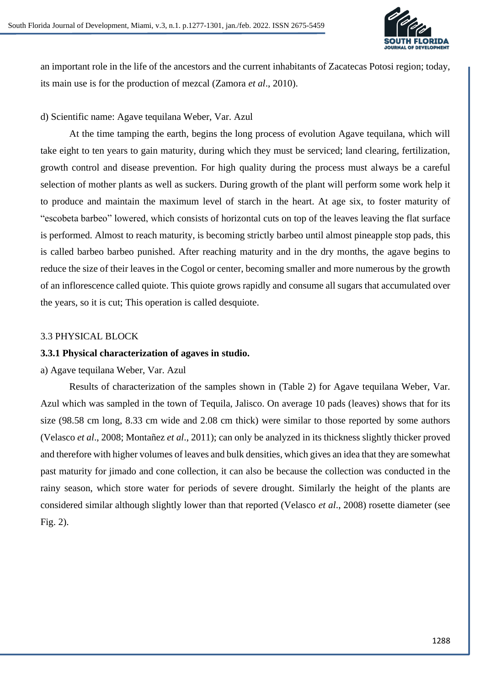

an important role in the life of the ancestors and the current inhabitants of Zacatecas Potosi region; today, its main use is for the production of mezcal (Zamora *et al*., 2010).

## d) Scientific name: Agave tequilana Weber, Var. Azul

At the time tamping the earth, begins the long process of evolution Agave tequilana, which will take eight to ten years to gain maturity, during which they must be serviced; land clearing, fertilization, growth control and disease prevention. For high quality during the process must always be a careful selection of mother plants as well as suckers. During growth of the plant will perform some work help it to produce and maintain the maximum level of starch in the heart. At age six, to foster maturity of "escobeta barbeo" lowered, which consists of horizontal cuts on top of the leaves leaving the flat surface is performed. Almost to reach maturity, is becoming strictly barbeo until almost pineapple stop pads, this is called barbeo barbeo punished. After reaching maturity and in the dry months, the agave begins to reduce the size of their leaves in the Cogol or center, becoming smaller and more numerous by the growth of an inflorescence called quiote. This quiote grows rapidly and consume all sugars that accumulated over the years, so it is cut; This operation is called desquiote.

## 3.3 PHYSICAL BLOCK

### **3.3.1 Physical characterization of agaves in studio.**

#### a) Agave tequilana Weber, Var. Azul

Results of characterization of the samples shown in (Table 2) for Agave tequilana Weber, Var. Azul which was sampled in the town of Tequila, Jalisco. On average 10 pads (leaves) shows that for its size (98.58 cm long, 8.33 cm wide and 2.08 cm thick) were similar to those reported by some authors (Velasco *et al*., 2008; Montañez *et al*., 2011); can only be analyzed in its thickness slightly thicker proved and therefore with higher volumes of leaves and bulk densities, which gives an idea that they are somewhat past maturity for jimado and cone collection, it can also be because the collection was conducted in the rainy season, which store water for periods of severe drought. Similarly the height of the plants are considered similar although slightly lower than that reported (Velasco *et al*., 2008) rosette diameter (see Fig. 2).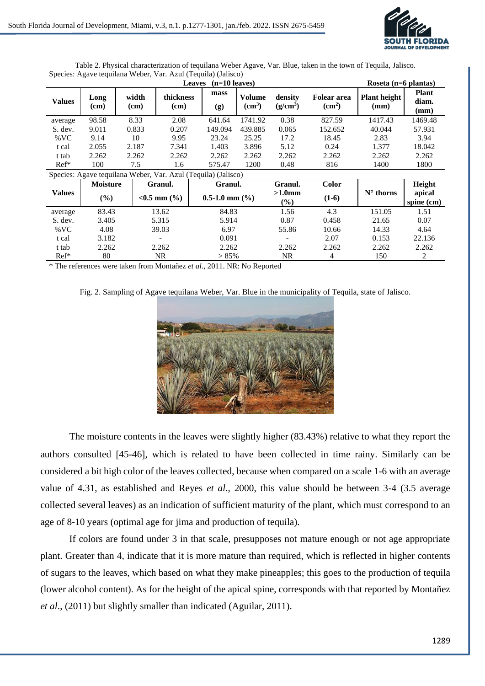

|               |                 |               |                                       | Roseta (n=6 plantas)                                          |                                     |                                 |                                                 |                             |                               |
|---------------|-----------------|---------------|---------------------------------------|---------------------------------------------------------------|-------------------------------------|---------------------------------|-------------------------------------------------|-----------------------------|-------------------------------|
| <b>Values</b> | Long<br>(cm)    | width<br>(cm) | thickness<br>(cm)                     | mass<br>(g)                                                   | <b>Volume</b><br>(cm <sup>3</sup> ) | density<br>(g/cm <sup>3</sup> ) | <b>Folear area</b><br>$\rm \left( cm^2 \right)$ | <b>Plant height</b><br>(mm) | <b>Plant</b><br>diam.<br>(mm) |
| average       | 98.58           | 8.33          | 2.08                                  | 641.64                                                        | 1741.92                             | 0.38                            | 827.59                                          | 1417.43                     | 1469.48                       |
| S. dev.       | 9.011           | 0.833         | 0.207                                 | 149.094                                                       | 439.885                             | 0.065                           | 152.652                                         | 40.044                      | 57.931                        |
| % VC          | 9.14            | 10            | 9.95                                  | 23.24                                                         | 25.25                               | 17.2                            | 18.45                                           | 2.83                        | 3.94                          |
| t cal         | 2.055           | 2.187         | 7.341                                 | 1.403                                                         | 3.896                               | 5.12                            | 0.24                                            | 1.377                       | 18.042                        |
| t tab         | 2.262           | 2.262         | 2.262                                 | 2.262                                                         | 2.262                               | 2.262                           | 2.262                                           | 2.262                       | 2.262                         |
| $Ref*$        | 100             | 7.5           | 1.6                                   | 575.47                                                        | 1200                                | 0.48                            | 816                                             | 1400                        | 1800                          |
|               |                 |               |                                       | Species: Agave tequilana Weber, Var. Azul (Tequila) (Jalisco) |                                     |                                 |                                                 |                             |                               |
|               | <b>Moisture</b> |               | Granul.                               | Granul.                                                       |                                     | Granul.                         | <b>Color</b>                                    |                             | Height                        |
| <b>Values</b> | $(\%)$          |               | $< 0.5$ mm $\left(\frac{9}{6}\right)$ | $0.5-1.0$ mm $(\% )$                                          |                                     | $>1.0$ mm<br>$\frac{9}{6}$      | $(1-6)$                                         | $N^{\circ}$ thorns          | apical<br>spine (cm)          |
| average       | 83.43           |               | 13.62                                 | 84.83                                                         |                                     | 1.56                            | 4.3                                             | 151.05                      | 1.51                          |
| S. dev.       | 3.405           |               | 5.315                                 | 5.914                                                         |                                     | 0.87                            | 0.458                                           | 21.65                       | 0.07                          |
| $\%$ VC       | 4.08            |               | 39.03                                 | 6.97                                                          |                                     | 55.86                           | 10.66                                           | 14.33                       | 4.64                          |
| t cal         | 3.182           |               |                                       | 0.091                                                         |                                     |                                 | 2.07                                            | 0.153                       | 22.136                        |
| t tab         | 2.262           |               | 2.262                                 | 2.262                                                         |                                     | 2.262                           | 2.262                                           | 2.262                       | 2.262                         |
| $Ref*$        | 80              |               | NR                                    | $> 85\%$                                                      |                                     | <b>NR</b>                       | 4                                               | 150                         | 2                             |

Table 2. Physical characterization of tequilana Weber Agave, Var. Blue, taken in the town of Tequila, Jalisco. Species: Agave tequilana Weber, Var. Azul (Tequila) (Jalisco)

\* The references were taken from Montañez *et al*., 2011. NR: No Reported

Fig. 2. Sampling of Agave tequilana Weber, Var. Blue in the municipality of Tequila, state of Jalisco.



The moisture contents in the leaves were slightly higher (83.43%) relative to what they report the authors consulted [45-46], which is related to have been collected in time rainy. Similarly can be considered a bit high color of the leaves collected, because when compared on a scale 1-6 with an average value of 4.31, as established and Reyes *et al*., 2000, this value should be between 3-4 (3.5 average collected several leaves) as an indication of sufficient maturity of the plant, which must correspond to an age of 8-10 years (optimal age for jima and production of tequila).

If colors are found under 3 in that scale, presupposes not mature enough or not age appropriate plant. Greater than 4, indicate that it is more mature than required, which is reflected in higher contents of sugars to the leaves, which based on what they make pineapples; this goes to the production of tequila (lower alcohol content). As for the height of the apical spine, corresponds with that reported by Montañez *et al*., (2011) but slightly smaller than indicated (Aguilar, 2011).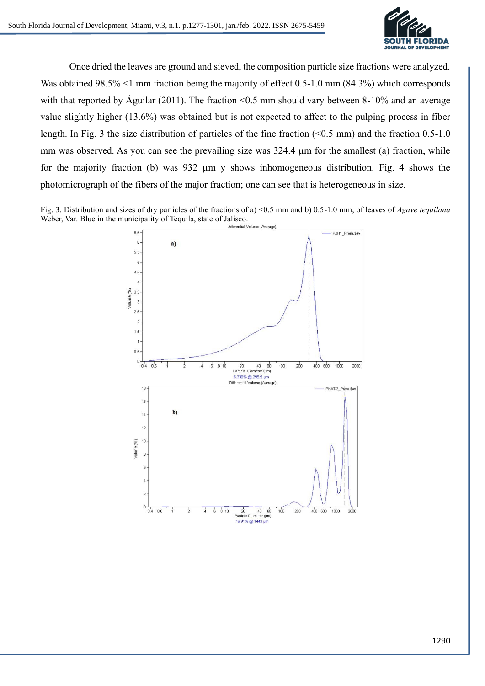

Once dried the leaves are ground and sieved, the composition particle size fractions were analyzed. Was obtained 98.5% <1 mm fraction being the majority of effect 0.5-1.0 mm (84.3%) which corresponds with that reported by Águilar (2011). The fraction <0.5 mm should vary between 8-10% and an average value slightly higher (13.6%) was obtained but is not expected to affect to the pulping process in fiber length. In Fig. 3 the size distribution of particles of the fine fraction (<0.5 mm) and the fraction 0.5-1.0 mm was observed. As you can see the prevailing size was 324.4  $\mu$ m for the smallest (a) fraction, while for the majority fraction (b) was 932 µm y shows inhomogeneous distribution. Fig. 4 shows the photomicrograph of the fibers of the major fraction; one can see that is heterogeneous in size.

Fig. 3. Distribution and sizes of dry particles of the fractions of a) <0.5 mm and b) 0.5-1.0 mm, of leaves of *Agave tequilana* Weber, Var. Blue in the municipality of Tequila, state of Jalisco.<br>
Differential Volume (Average)

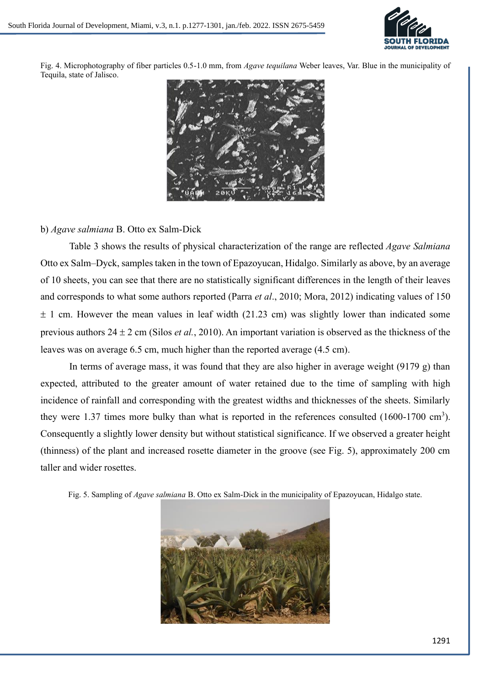

Fig. 4. Microphotography of fiber particles 0.5-1.0 mm, from *Agave tequilana* Weber leaves, Var. Blue in the municipality of Tequila, state of Jalisco.



## b) *Agave salmiana* B. Otto ex Salm-Dick

Table 3 shows the results of physical characterization of the range are reflected *Agave Salmiana* Otto ex Salm–Dyck, samples taken in the town of Epazoyucan, Hidalgo. Similarly as above, by an average of 10 sheets, you can see that there are no statistically significant differences in the length of their leaves and corresponds to what some authors reported (Parra *et al*., 2010; Mora, 2012) indicating values of 150  $\pm$  1 cm. However the mean values in leaf width (21.23 cm) was slightly lower than indicated some previous authors  $24 \pm 2$  cm (Silos *et al.*, 2010). An important variation is observed as the thickness of the leaves was on average 6.5 cm, much higher than the reported average (4.5 cm).

In terms of average mass, it was found that they are also higher in average weight (9179 g) than expected, attributed to the greater amount of water retained due to the time of sampling with high incidence of rainfall and corresponding with the greatest widths and thicknesses of the sheets. Similarly they were 1.37 times more bulky than what is reported in the references consulted  $(1600-1700 \text{ cm}^3)$ . Consequently a slightly lower density but without statistical significance. If we observed a greater height (thinness) of the plant and increased rosette diameter in the groove (see Fig. 5), approximately 200 cm taller and wider rosettes.

Fig. 5. Sampling of *Agave salmiana* B. Otto ex Salm-Dick in the municipality of Epazoyucan, Hidalgo state.

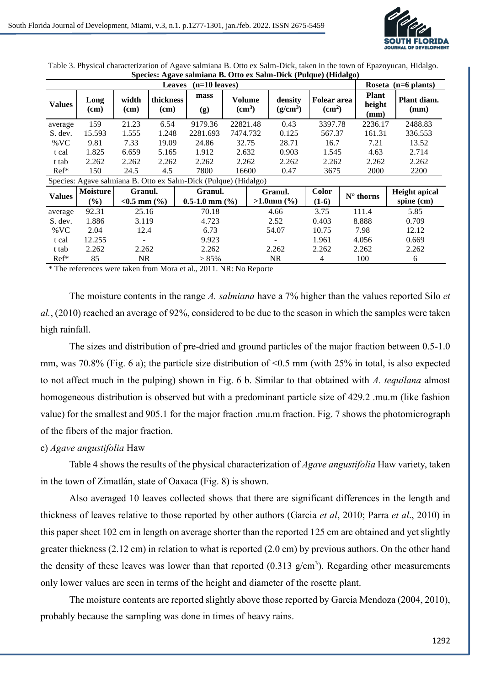

| $(n=10 \text{ leaves})$<br><b>Leaves</b> |                                                                 |                               |                          |                                 |                              |  |                              |                         |                                    |                                | Roseta $(n=6 \text{ plants})$      |
|------------------------------------------|-----------------------------------------------------------------|-------------------------------|--------------------------|---------------------------------|------------------------------|--|------------------------------|-------------------------|------------------------------------|--------------------------------|------------------------------------|
| <b>Values</b>                            | Long<br>(cm)                                                    | width<br>(cm)                 | <i>thickness</i><br>(cm) | mass<br>(g)                     | Volume<br>(cm <sup>3</sup> ) |  | density<br>$(g/cm^3)$        |                         | <b>Folear area</b><br>$\rm (cm^2)$ | <b>Plant</b><br>height<br>(mm) | Plant diam.<br>(mm)                |
| average                                  | 159                                                             | 21.23                         | 6.54                     | 9179.36                         | 22821.48                     |  | 0.43                         | 3397.78                 |                                    | 2236.17                        | 2488.83                            |
| S. dev.                                  | 15.593                                                          | 1.555                         | 1.248                    | 2281.693                        | 7474.732                     |  | 0.125                        | 567.37                  |                                    | 161.31                         | 336.553                            |
| $\%$ VC                                  | 9.81                                                            | 7.33                          | 19.09                    | 24.86                           | 32.75                        |  | 28.71                        | 16.7                    |                                    | 7.21                           | 13.52                              |
| t cal                                    | 1.825                                                           | 6.659                         | 5.165                    | 1.912                           | 2.632                        |  | 0.903                        | 1.545                   |                                    | 4.63                           | 2.714                              |
| t tab                                    | 2.262                                                           | 2.262                         | 2.262                    | 2.262                           | 2.262                        |  | 2.262                        | 2.262                   |                                    | 2.262                          | 2.262                              |
| $Ref*$                                   | 150                                                             | 24.5                          | 4.5                      | 7800                            | 16600                        |  | 0.47                         | 3675                    |                                    | 2000                           | 2200                               |
|                                          | Species: Agave salmiana B. Otto ex Salm-Dick (Pulque) (Hidalgo) |                               |                          |                                 |                              |  |                              |                         |                                    |                                |                                    |
| <b>Values</b>                            | <b>Moisture</b><br>$(\%)$                                       | Granul.<br>$< 0.5$ mm $(\% )$ |                          | Granul.<br>$0.5-1.0$ mm $(\% )$ |                              |  | Granul.<br>$>1.0$ mm $(\% )$ | <b>Color</b><br>$(1-6)$ |                                    | $N^{\circ}$ thorns             | <b>Height</b> apical<br>spine (cm) |
| average                                  | 92.31                                                           | 25.16                         |                          | 70.18                           |                              |  | 4.66                         | 3.75                    |                                    | 111.4                          | 5.85                               |
| S. dev.                                  | 1.886                                                           | 3.119                         |                          | 4.723                           |                              |  | 2.52                         | 0.403                   |                                    | 8.888                          | 0.709                              |
| $\%$ VC                                  | 2.04                                                            | 12.4                          |                          | 6.73                            |                              |  | 54.07                        | 10.75                   |                                    | 7.98                           | 12.12                              |
| t cal                                    | 12.255                                                          | $\overline{\phantom{a}}$      |                          | 9.923                           |                              |  |                              | 1.961                   |                                    | 4.056                          | 0.669                              |
| t tab                                    | 2.262                                                           | 2.262                         |                          | 2.262                           |                              |  | 2.262                        | 2.262                   |                                    | 2.262                          | 2.262                              |
| $Ref*$                                   | 85                                                              | <b>NR</b>                     |                          | $> 85\%$                        |                              |  | <b>NR</b>                    | 4                       |                                    | 100                            | 6                                  |

Table 3. Physical characterization of Agave salmiana B. Otto ex Salm-Dick, taken in the town of Epazoyucan, Hidalgo. **Species: Agave salmiana B. Otto ex Salm-Dick (Pulque) (Hidalgo)**

\* The references were taken from Mora et al., 2011. NR: No Reporte

The moisture contents in the range *A. salmiana* have a 7% higher than the values reported Silo *et al.*, (2010) reached an average of 92%, considered to be due to the season in which the samples were taken high rainfall.

The sizes and distribution of pre-dried and ground particles of the major fraction between 0.5-1.0 mm, was 70.8% (Fig. 6 a); the particle size distribution of  $\leq 0.5$  mm (with 25% in total, is also expected to not affect much in the pulping) shown in Fig. 6 b. Similar to that obtained with *A. tequilana* almost homogeneous distribution is observed but with a predominant particle size of 429.2 .mu.m (like fashion value) for the smallest and 905.1 for the major fraction .mu.m fraction. Fig. 7 shows the photomicrograph of the fibers of the major fraction.

#### c) *Agave angustifolia* Haw

Table 4 shows the results of the physical characterization of *Agave angustifolia* Haw variety, taken in the town of Zimatlán, state of Oaxaca (Fig. 8) is shown.

Also averaged 10 leaves collected shows that there are significant differences in the length and thickness of leaves relative to those reported by other authors (Garcia *et al*, 2010; Parra *et al*., 2010) in this paper sheet 102 cm in length on average shorter than the reported 125 cm are obtained and yet slightly greater thickness (2.12 cm) in relation to what is reported (2.0 cm) by previous authors. On the other hand the density of these leaves was lower than that reported  $(0.313 \text{ g/cm}^3)$ . Regarding other measurements only lower values are seen in terms of the height and diameter of the rosette plant.

The moisture contents are reported slightly above those reported by Garcia Mendoza (2004, 2010), probably because the sampling was done in times of heavy rains.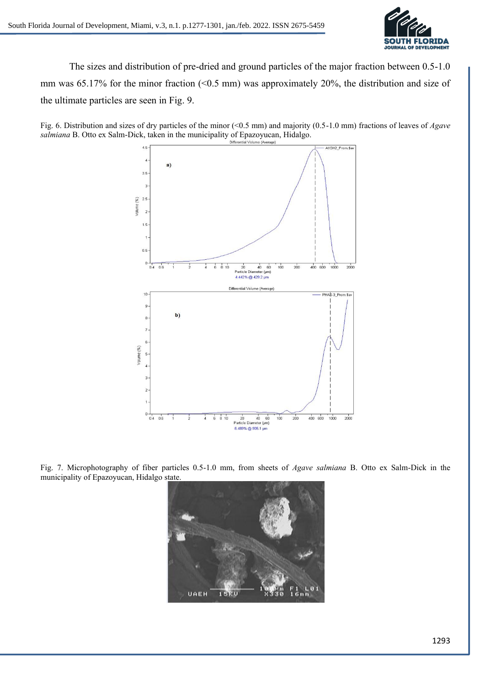

The sizes and distribution of pre-dried and ground particles of the major fraction between 0.5-1.0 mm was 65.17% for the minor fraction (<0.5 mm) was approximately 20%, the distribution and size of the ultimate particles are seen in Fig. 9.

Fig. 6. Distribution and sizes of dry particles of the minor (<0.5 mm) and majority (0.5-1.0 mm) fractions of leaves of *Agave salmiana* B. Otto ex Salm-Dick, taken in the municipality of Epazoyucan, Hidalgo.



Fig. 7. Microphotography of fiber particles 0.5-1.0 mm, from sheets of *Agave salmiana* B. Otto ex Salm-Dick in the municipality of Epazoyucan, Hidalgo state.

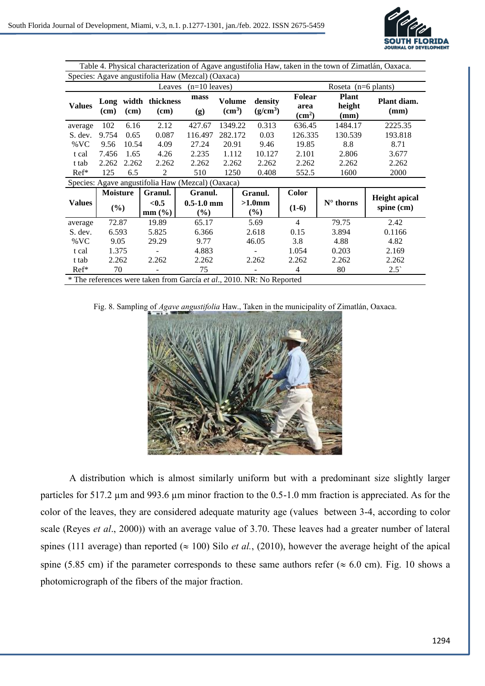

| Table 4. Physical characterization of Agave angustifolia Haw, taken in the town of Zimatlán, Oaxaca. |                                                                       |       |                          |                                                   |                                                         |                            |                                        |                                |                     |                                      |  |
|------------------------------------------------------------------------------------------------------|-----------------------------------------------------------------------|-------|--------------------------|---------------------------------------------------|---------------------------------------------------------|----------------------------|----------------------------------------|--------------------------------|---------------------|--------------------------------------|--|
| Species: Agave angustifolia Haw (Mezcal) (Oaxaca)                                                    |                                                                       |       |                          |                                                   |                                                         |                            |                                        |                                |                     |                                      |  |
| Leaves<br>$(n=10 \text{ leaves})$<br>Roseta $(n=6 \text{ plants})$                                   |                                                                       |       |                          |                                                   |                                                         |                            |                                        |                                |                     |                                      |  |
| <b>Values</b>                                                                                        | Long<br>(cm)                                                          | (cm)  | width thickness<br>(cm)  | mass<br>(g)                                       | <b>Volume</b><br>density<br>$\text{cm}^3$<br>$(g/cm^3)$ |                            | <b>Folear</b><br>area<br>$\text{cm}^2$ | <b>Plant</b><br>height<br>(mm) | Plant diam.<br>(mm) |                                      |  |
| average                                                                                              | 102                                                                   | 6.16  | 2.12                     | 427.67                                            | 1349.22                                                 |                            | 0.313                                  | 636.45                         | 1484.17             | 2225.35                              |  |
| S. dev.                                                                                              | 9.754                                                                 | 0.65  | 0.087                    | 116.497                                           | 282.172                                                 |                            | 0.03                                   | 126.335                        | 130.539             | 193.818                              |  |
| $\%$ VC                                                                                              | 9.56                                                                  | 10.54 | 4.09                     | 27.24                                             | 20.91                                                   |                            | 9.46                                   | 19.85                          | 8.8                 | 8.71                                 |  |
| t cal                                                                                                | 7.456                                                                 | 1.65  | 4.26                     | 2.235                                             |                                                         | 1.112<br>10.127            |                                        | 2.101                          | 2.806               | 3.677                                |  |
| t tab                                                                                                | 2.262                                                                 | 2.262 | 2.262                    | 2.262                                             |                                                         | 2.262<br>2.262             |                                        | 2.262                          | 2.262               | 2.262                                |  |
| $Ref*$                                                                                               | 125                                                                   | 6.5   | 2                        | 510                                               | 1250                                                    |                            | 0.408                                  | 552.5                          | 1600                | 2000                                 |  |
|                                                                                                      |                                                                       |       |                          | Species: Agave angustifolia Haw (Mezcal) (Oaxaca) |                                                         |                            |                                        |                                |                     |                                      |  |
|                                                                                                      | <b>Moisture</b>                                                       |       | Granul.                  | Granul.                                           |                                                         |                            | Granul.                                | <b>Color</b>                   |                     |                                      |  |
| <b>Values</b>                                                                                        | (%)                                                                   |       | < 0.5<br>$mm$ (%)        | $0.5 - 1.0$ mm<br>$(\%)$                          |                                                         | $>1.0 \text{mm}$<br>$(\%)$ |                                        | $(1-6)$                        | $N^{\circ}$ thorns  | <b>Height</b> apical<br>spine $(cm)$ |  |
| average                                                                                              | 72.87                                                                 |       | 19.89                    | 65.17                                             |                                                         |                            | 5.69                                   | $\overline{4}$                 | 79.75               | 2.42                                 |  |
| S. dev.                                                                                              | 6.593                                                                 |       | 5.825                    | 6.366                                             |                                                         | 2.618                      |                                        | 0.15                           | 3.894               | 0.1166                               |  |
| $\%$ VC                                                                                              | 9.05                                                                  |       | 29.29                    | 9.77                                              |                                                         | 46.05                      |                                        | 3.8                            | 4.88                | 4.82                                 |  |
| t cal                                                                                                | 1.375                                                                 |       |                          | 4.883                                             |                                                         |                            |                                        | 1.054                          | 0.203               | 2.169                                |  |
| t tab                                                                                                | 2.262                                                                 |       | 2.262                    | 2.262                                             |                                                         |                            | 2.262                                  | 2.262                          | 2.262               | 2.262                                |  |
| $Ref*$                                                                                               | 70                                                                    |       | $\overline{\phantom{a}}$ | 75                                                |                                                         |                            | $\overline{\phantom{0}}$               | $\overline{4}$                 | 80                  | $2.5^{\circ}$                        |  |
|                                                                                                      | * The references were taken from García et al., 2010. NR: No Reported |       |                          |                                                   |                                                         |                            |                                        |                                |                     |                                      |  |

Fig. 8. Sampling of *Agave angustifolia* Haw., Taken in the municipality of Zimatlán, Oaxaca.



A distribution which is almost similarly uniform but with a predominant size slightly larger particles for 517.2 µm and 993.6 µm minor fraction to the 0.5-1.0 mm fraction is appreciated. As for the color of the leaves, they are considered adequate maturity age (values between 3-4, according to color scale (Reyes *et al*., 2000)) with an average value of 3.70. These leaves had a greater number of lateral spines (111 average) than reported ( $\approx 100$ ) Silo *et al.*, (2010), however the average height of the apical spine (5.85 cm) if the parameter corresponds to these same authors refer ( $\approx 6.0$  cm). Fig. 10 shows a photomicrograph of the fibers of the major fraction.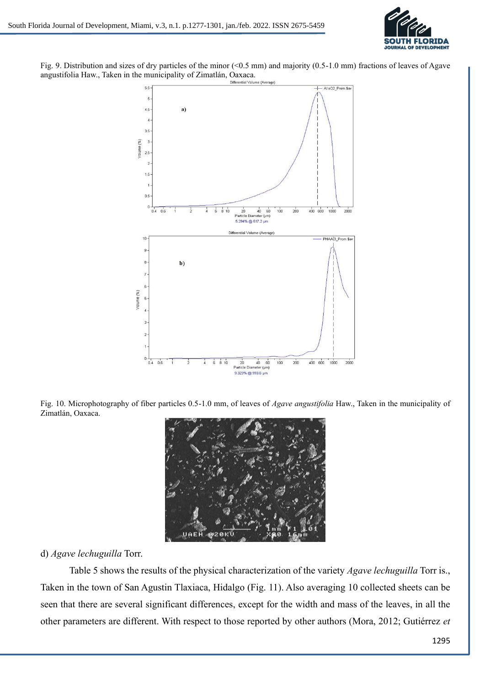

Fig. 9. Distribution and sizes of dry particles of the minor  $(0.5 \text{ mm})$  and majority  $(0.5-1.0 \text{ mm})$  fractions of leaves of Agave angustifolia Haw., Taken in the municipality of Zimatlán, Oaxaca.



Fig. 10. Microphotography of fiber particles 0.5-1.0 mm, of leaves of *Agave angustifolia* Haw., Taken in the municipality of Zimatlán, Oaxaca.



#### d) *Agave lechuguilla* Torr.

Table 5 shows the results of the physical characterization of the variety *Agave lechuguilla* Torr is., Taken in the town of San Agustin Tlaxiaca, Hidalgo (Fig. 11). Also averaging 10 collected sheets can be seen that there are several significant differences, except for the width and mass of the leaves, in all the other parameters are different. With respect to those reported by other authors (Mora, 2012; Gutiérrez *et*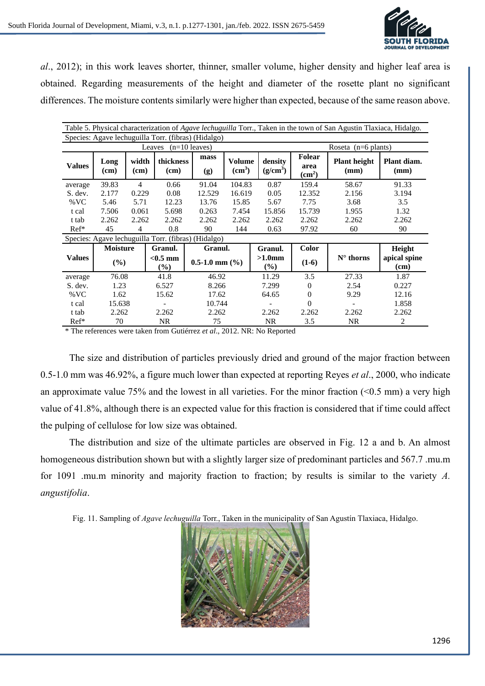

*al*., 2012); in this work leaves shorter, thinner, smaller volume, higher density and higher leaf area is obtained. Regarding measurements of the height and diameter of the rosette plant no significant differences. The moisture contents similarly were higher than expected, because of the same reason above.

| Table 5. Physical characterization of Agave lechuguilla Torr., Taken in the town of San Agustin Tlaxiaca, Hidalgo. |                 |               |                                                     |                      |                              |                       |                                             |                             |                      |  |  |
|--------------------------------------------------------------------------------------------------------------------|-----------------|---------------|-----------------------------------------------------|----------------------|------------------------------|-----------------------|---------------------------------------------|-----------------------------|----------------------|--|--|
| Species: Agave lechuguilla Torr. (fibras) (Hidalgo)                                                                |                 |               |                                                     |                      |                              |                       |                                             |                             |                      |  |  |
| $(n=10 \text{ leaves})$<br>Leaves<br>Roseta $(n=6 \text{ plants})$                                                 |                 |               |                                                     |                      |                              |                       |                                             |                             |                      |  |  |
| <b>Values</b>                                                                                                      | Long<br>(cm)    | width<br>(cm) | thickness<br>(cm)                                   | mass<br>(g)          | Volume<br>(cm <sup>3</sup> ) | density<br>$(g/cm^3)$ | <b>Folear</b><br>area<br>(cm <sup>2</sup> ) | <b>Plant height</b><br>(mm) | Plant diam.<br>(mm)  |  |  |
| average                                                                                                            | 39.83           | 4             | 0.66                                                | 91.04                | 104.83                       | 0.87                  | 159.4                                       | 58.67                       | 91.33                |  |  |
| S. dev.                                                                                                            | 2.177           | 0.229         | 0.08                                                | 12.529               | 16.619                       | 0.05                  | 12.352                                      | 2.156                       | 3.194                |  |  |
| $\%$ VC                                                                                                            | 5.46            | 5.71          | 12.23                                               | 13.76                | 15.85                        | 5.67                  | 7.75                                        | 3.68                        | 3.5                  |  |  |
| t cal                                                                                                              | 7.506           | 0.061         | 5.698                                               | 0.263                | 7.454                        | 15.856                | 15.739                                      | 1.955                       | 1.32                 |  |  |
| t tab                                                                                                              | 2.262           | 2.262         | 2.262                                               | 2.262                | 2.262                        | 2.262                 | 2.262                                       | 2.262                       | 2.262                |  |  |
| $Ref*$                                                                                                             | 45              | 4             | 0.8                                                 | 90                   | 144                          | 0.63                  | 97.92                                       | 60                          | 90                   |  |  |
|                                                                                                                    |                 |               | Species: Agave lechuguilla Torr. (fibras) (Hidalgo) |                      |                              |                       |                                             |                             |                      |  |  |
|                                                                                                                    | <b>Moisture</b> |               | Granul.                                             | Granul.              |                              | Granul.               | Color                                       |                             | Height               |  |  |
| <b>Values</b>                                                                                                      | (%)             |               | $<$ 0.5 mm<br>$\frac{9}{6}$                         | $0.5-1.0$ mm $(\% )$ |                              | $>1.0$ mm<br>$(\%)$   | $(1-6)$                                     | $N^{\circ}$ thorns          | apical spine<br>(cm) |  |  |
| average                                                                                                            | 76.08           |               | 41.8                                                | 46.92                |                              | 11.29                 | 3.5                                         | 27.33                       | 1.87                 |  |  |
| S. dev.                                                                                                            | 1.23            |               | 6.527                                               | 8.266                |                              | 7.299                 | $\Omega$                                    | 2.54                        | 0.227                |  |  |
| %VC                                                                                                                | 1.62            |               | 15.62                                               | 17.62                |                              | 64.65                 | $\mathbf{0}$                                | 9.29                        | 12.16                |  |  |
| t cal                                                                                                              | 15.638          |               |                                                     | 10.744               |                              |                       | 0                                           |                             | 1.858                |  |  |
| t tab                                                                                                              | 2.262           |               | 2.262                                               | 2.262                |                              | 2.262                 | 2.262                                       | 2.262                       | 2.262                |  |  |
| $Ref*$                                                                                                             | 70              |               | NR                                                  | 75                   |                              | <b>NR</b>             | 3.5                                         | <b>NR</b>                   | $\overline{2}$       |  |  |

\* The references were taken from Gutiérrez *et al*., 2012. NR: No Reported

The size and distribution of particles previously dried and ground of the major fraction between 0.5-1.0 mm was 46.92%, a figure much lower than expected at reporting Reyes *et al*., 2000, who indicate an approximate value 75% and the lowest in all varieties. For the minor fraction  $($ <0.5 mm) a very high value of 41.8%, although there is an expected value for this fraction is considered that if time could affect the pulping of cellulose for low size was obtained.

The distribution and size of the ultimate particles are observed in Fig. 12 a and b. An almost homogeneous distribution shown but with a slightly larger size of predominant particles and 567.7 .mu.m for 1091 .mu.m minority and majority fraction to fraction; by results is similar to the variety *A. angustifolia*.

Fig. 11. Sampling of *Agave lechuguilla* Torr., Taken in the municipality of San Agustín Tlaxiaca, Hidalgo.

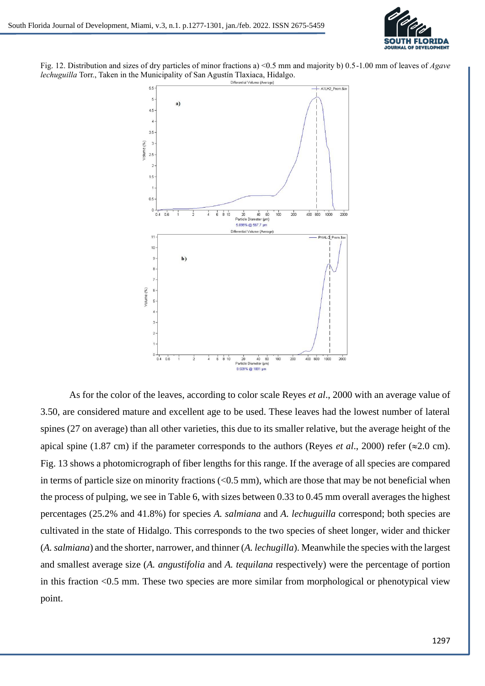

Fig. 12. Distribution and sizes of dry particles of minor fractions a) <0.5 mm and majority b) 0.5-1.00 mm of leaves of *Agave lechuguilla* Torr., Taken in the Municipality of San Agustín Tlaxiaca, Hidalgo.



As for the color of the leaves, according to color scale Reyes *et al*., 2000 with an average value of 3.50, are considered mature and excellent age to be used. These leaves had the lowest number of lateral spines (27 on average) than all other varieties, this due to its smaller relative, but the average height of the apical spine (1.87 cm) if the parameter corresponds to the authors (Reyes *et al.*, 2000) refer ( $\approx$ 2.0 cm). Fig. 13 shows a photomicrograph of fiber lengths for this range. If the average of all species are compared in terms of particle size on minority fractions  $( $0.5 \text{ mm}$ ), which are those that may be not beneficial when$ the process of pulping, we see in Table 6, with sizes between 0.33 to 0.45 mm overall averages the highest percentages (25.2% and 41.8%) for species *A. salmiana* and *A. lechuguilla* correspond; both species are cultivated in the state of Hidalgo. This corresponds to the two species of sheet longer, wider and thicker (*A. salmiana*) and the shorter, narrower, and thinner (*A. lechugilla*). Meanwhile the species with the largest and smallest average size (*A. angustifolia* and *A. tequilana* respectively) were the percentage of portion in this fraction <0.5 mm. These two species are more similar from morphological or phenotypical view point.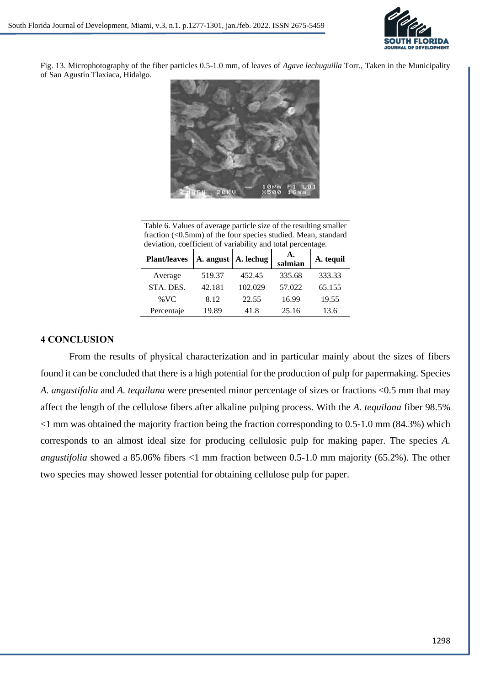

Fig. 13. Microphotography of the fiber particles 0.5-1.0 mm, of leaves of *Agave lechuguilla* Torr., Taken in the Municipality of San Agustín Tlaxiaca, Hidalgo.



Table 6. Values of average particle size of the resulting smaller fraction (<0.5mm) of the four species studied. Mean, standard deviation, coefficient of variability and total percentage.

| <b>Plant/leaves</b> | A. angust | A. lechug | А.<br>salmian | A. tequil |
|---------------------|-----------|-----------|---------------|-----------|
| Average             | 519.37    | 452.45    | 335.68        | 333.33    |
| STA. DES.           | 42.181    | 102.029   | 57.022        | 65.155    |
| % VC                | 8.12      | 22.55     | 16.99         | 19.55     |
| Percentaje          | 19.89     | 41.8      | 25.16         | 13.6      |

### **4 CONCLUSION**

From the results of physical characterization and in particular mainly about the sizes of fibers found it can be concluded that there is a high potential for the production of pulp for papermaking. Species *A. angustifolia* and *A. tequilana* were presented minor percentage of sizes or fractions <0.5 mm that may affect the length of the cellulose fibers after alkaline pulping process. With the *A. tequilana* fiber 98.5% <1 mm was obtained the majority fraction being the fraction corresponding to 0.5-1.0 mm (84.3%) which corresponds to an almost ideal size for producing cellulosic pulp for making paper. The species *A. angustifolia* showed a 85.06% fibers <1 mm fraction between 0.5-1.0 mm majority (65.2%). The other two species may showed lesser potential for obtaining cellulose pulp for paper.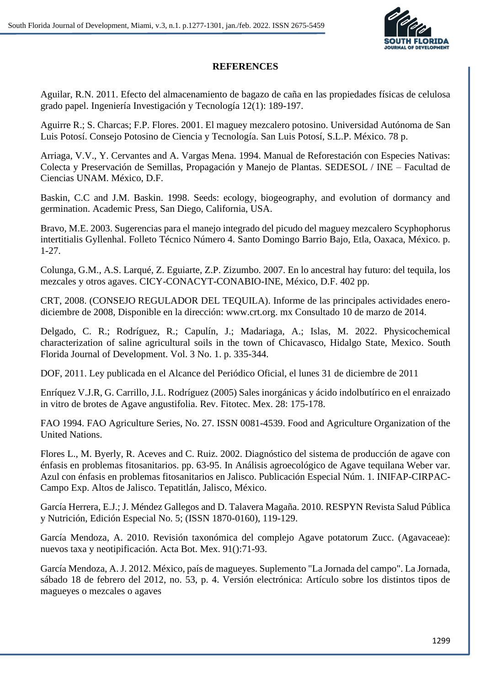

## **REFERENCES**

Aguilar, R.N. 2011. Efecto del almacenamiento de bagazo de caña en las propiedades físicas de celulosa grado papel. Ingeniería Investigación y Tecnología 12(1): 189-197.

Aguirre R.; S. Charcas; F.P. Flores. 2001. El maguey mezcalero potosino. Universidad Autónoma de San Luis Potosí. Consejo Potosino de Ciencia y Tecnología. San Luis Potosí, S.L.P. México. 78 p.

Arriaga, V.V., Y. Cervantes and A. Vargas Mena. 1994. Manual de Reforestación con Especies Nativas: Colecta y Preservación de Semillas, Propagación y Manejo de Plantas. SEDESOL / INE – Facultad de Ciencias UNAM. México, D.F.

Baskin, C.C and J.M. Baskin. 1998. Seeds: ecology, biogeography, and evolution of dormancy and germination. Academic Press, San Diego, California, USA.

Bravo, M.E. 2003. Sugerencias para el manejo integrado del picudo del maguey mezcalero Scyphophorus intertitialis Gyllenhal. Folleto Técnico Número 4. Santo Domingo Barrio Bajo, Etla, Oaxaca, México. p. 1-27.

Colunga, G.M., A.S. Larqué, Z. Eguiarte, Z.P. Zizumbo. 2007. En lo ancestral hay futuro: del tequila, los mezcales y otros agaves. CICY-CONACYT-CONABIO-INE, México, D.F. 402 pp.

CRT, 2008. (CONSEJO REGULADOR DEL TEQUILA). Informe de las principales actividades enerodiciembre de 2008, Disponible en la dirección: www.crt.org. mx Consultado 10 de marzo de 2014.

Delgado, C. R.; Rodríguez, R.; Capulín, J.; Madariaga, A.; Islas, M. 2022. Physicochemical characterization of saline agricultural soils in the town of Chicavasco, Hidalgo State, Mexico. South Florida Journal of Development. Vol. 3 No. 1. p. 335-344.

DOF, 2011. Ley publicada en el Alcance del Periódico Oficial, el lunes 31 de diciembre de 2011

Enríquez V.J.R, G. Carrillo, J.L. Rodríguez (2005) Sales inorgánicas y ácido indolbutírico en el enraizado in vitro de brotes de Agave angustifolia. Rev. Fitotec. Mex. 28: 175-178.

FAO 1994. FAO Agriculture Series, No. 27. ISSN 0081-4539. Food and Agriculture Organization of the United Nations.

Flores L., M. Byerly, R. Aceves and C. Ruiz. 2002. Diagnóstico del sistema de producción de agave con énfasis en problemas fitosanitarios. pp. 63-95. In Análisis agroecológico de Agave tequilana Weber var. Azul con énfasis en problemas fitosanitarios en Jalisco. Publicación Especial Núm. 1. INIFAP-CIRPAC-Campo Exp. Altos de Jalisco. Tepatitlán, Jalisco, México.

García Herrera, E.J.; J. Méndez Gallegos and D. Talavera Magaña. 2010. RESPYN Revista Salud Pública y Nutrición, Edición Especial No. 5; (ISSN 1870-0160), 119-129.

García Mendoza, A. 2010. Revisión taxonómica del complejo Agave potatorum Zucc. (Agavaceae): nuevos taxa y neotipificación. Acta Bot. Mex. 91():71-93.

García Mendoza, A. J. 2012. México, país de magueyes. Suplemento "La Jornada del campo". La Jornada, sábado 18 de febrero del 2012, no. 53, p. 4. Versión electrónica: Artículo sobre los distintos tipos de magueyes o mezcales o agaves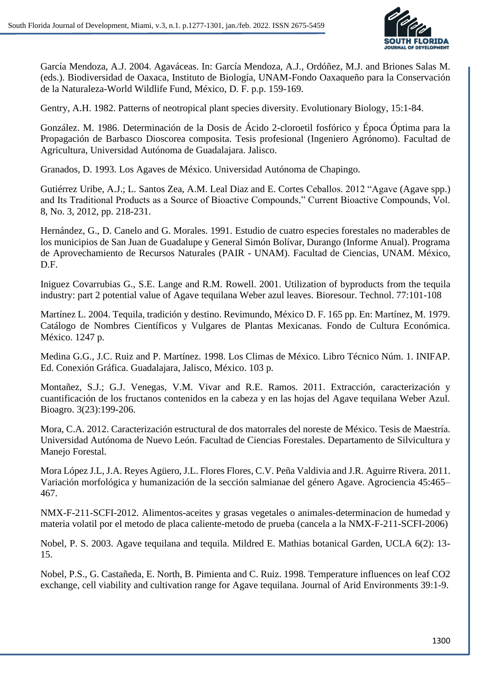

García Mendoza, A.J. 2004. Agaváceas. In: García Mendoza, A.J., Ordóñez, M.J. and Briones Salas M. (eds.). Biodiversidad de Oaxaca, Instituto de Biología, UNAM-Fondo Oaxaqueño para la Conservación de la Naturaleza-World Wildlife Fund, México, D. F. p.p. 159-169.

Gentry, A.H. 1982. Patterns of neotropical plant species diversity. Evolutionary Biology, 15:1-84.

González. M. 1986. Determinación de la Dosis de Ácido 2-cloroetil fosfórico y Época Óptima para la Propagación de Barbasco Dioscorea composita. Tesis profesional (Ingeniero Agrónomo). Facultad de Agricultura, Universidad Autónoma de Guadalajara. Jalisco.

Granados, D. 1993. Los Agaves de México. Universidad Autónoma de Chapingo.

Gutiérrez Uribe, A.J.; L. Santos Zea, A.M. Leal Diaz and E. Cortes Ceballos. 2012 "Agave (Agave spp.) and Its Traditional Products as a Source of Bioactive Compounds," Current Bioactive Compounds, Vol. 8, No. 3, 2012, pp. 218-231.

Hernández, G., D. Canelo and G. Morales. 1991. Estudio de cuatro especies forestales no maderables de los municipios de San Juan de Guadalupe y General Simón Bolívar, Durango (Informe Anual). Programa de Aprovechamiento de Recursos Naturales (PAIR - UNAM). Facultad de Ciencias, UNAM. México, D.F.

Iniguez Covarrubias G., S.E. Lange and R.M. Rowell. 2001. Utilization of byproducts from the tequila industry: part 2 potential value of Agave tequilana Weber azul leaves. Bioresour. Technol. 77:101-108

Martínez L. 2004. Tequila, tradición y destino. Revimundo, México D. F. 165 pp. En: Martínez, M. 1979. Catálogo de Nombres Científicos y Vulgares de Plantas Mexicanas. Fondo de Cultura Económica. México. 1247 p.

Medina G.G., J.C. Ruiz and P. Martínez. 1998. Los Climas de México. Libro Técnico Núm. 1. INIFAP. Ed. Conexión Gráfica. Guadalajara, Jalisco, México. 103 p.

Montañez, S.J.; G.J. Venegas, V.M. Vivar and R.E. Ramos. 2011. Extracción, caracterización y cuantificación de los fructanos contenidos en la cabeza y en las hojas del Agave tequilana Weber Azul. Bioagro. 3(23):199-206.

Mora, C.A. 2012. Caracterización estructural de dos matorrales del noreste de México. Tesis de Maestría. Universidad Autónoma de Nuevo León. Facultad de Ciencias Forestales. Departamento de Silvicultura y Manejo Forestal.

Mora López J.L, J.A. Reyes Agüero, J.L. Flores Flores, C.V. Peña Valdivia and J.R. Aguirre Rivera. 2011. Variación morfológica y humanización de la sección salmianae del género Agave. Agrociencia 45:465– 467.

NMX-F-211-SCFI-2012. Alimentos-aceites y grasas vegetales o animales-determinacion de humedad y materia volatil por el metodo de placa caliente-metodo de prueba (cancela a la NMX-F-211-SCFI-2006)

Nobel, P. S. 2003. Agave tequilana and tequila. Mildred E. Mathias botanical Garden, UCLA 6(2): 13- 15.

Nobel, P.S., G. Castañeda, E. North, B. Pimienta and C. Ruiz. 1998. Temperature influences on leaf CO2 exchange, cell viability and cultivation range for Agave tequilana. Journal of Arid Environments 39:1-9.